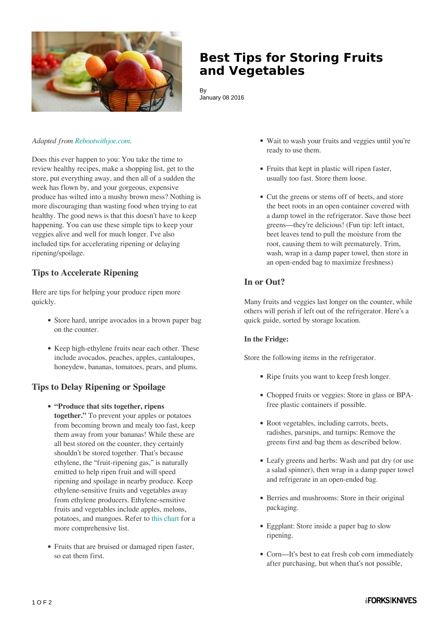

# **Best Tips for Storing Fruits and Vegetables**

By January 08 2016

#### *Adapted from [Rebootwithjoe.com.](http://www.rebootwithjoe.com/the-best-tips-for-storing-your-produce/)*

Does this ever happen to you: You take the time to review healthy recipes, make a shopping list, get to the store, put everything away, and then all of a sudden the week has flown by, and your gorgeous, expensive produce has wilted into a mushy brown mess? Nothing is more discouraging than wasting food when trying to eat healthy. The good news is that this doesn't have to keep happening. You can use these simple tips to keep your veggies alive and well for much longer. I've also included tips for accelerating ripening or delaying ripening/spoilage.

## **Tips to Accelerate Ripening**

Here are tips for helping your produce ripen more quickly.

- Store hard, unripe avocados in a brown paper bag on the counter.
- Keep high-ethylene fruits near each other. These include avocados, peaches, apples, cantaloupes, honeydew, bananas, tomatoes, pears, and plums.

### **Tips to Delay Ripening or Spoilage**

- **"Produce that sits together, ripens together."** To prevent your apples or potatoes from becoming brown and mealy too fast, keep them away from your bananas! While these are all best stored on the counter, they certainly shouldn't be stored together. That's because ethylene, the "fruit-ripening gas," is naturally emitted to help ripen fruit and will speed ripening and spoilage in nearby produce. Keep ethylene-sensitive fruits and vegetables away from ethylene producers. Ethylene-sensitive fruits and vegetables include apples, melons, potatoes, and mangoes. Refer to [this chart](http://www.engineeringtoolbox.com/fruits-vegetables-storage-conditions-d_710.html) for a more comprehensive list.
- Fruits that are bruised or damaged ripen faster, so eat them first.
- Wait to wash your fruits and veggies until you're ready to use them.
- Fruits that kept in plastic will ripen faster, usually too fast. Store them loose.
- Cut the greens or stems off of beets, and store the beet roots in an open container covered with a damp towel in the refrigerator. Save those beet greens—they're delicious! (Fun tip: left intact, beet leaves tend to pull the moisture from the root, causing them to wilt prematurely. Trim, wash, wrap in a damp paper towel, then store in an open-ended bag to maximize freshness)

### **In or Out?**

Many fruits and veggies last longer on the counter, while others will perish if left out of the refrigerator. Here's a quick guide, sorted by storage location.

#### **In the Fridge:**

Store the following items in the refrigerator.

- Ripe fruits you want to keep fresh longer.
- Chopped fruits or veggies: Store in glass or BPAfree plastic containers if possible.
- Root vegetables, including carrots, beets, radishes, parsnips, and turnips: Remove the greens first and bag them as described below.
- Leafy greens and herbs: Wash and pat dry (or use a salad spinner), then wrap in a damp paper towel and refrigerate in an open-ended bag.
- Berries and mushrooms: Store in their original packaging.
- Eggplant: Store inside a paper bag to slow ripening.
- Corn—It's best to eat fresh cob corn immediately after purchasing, but when that's not possible,